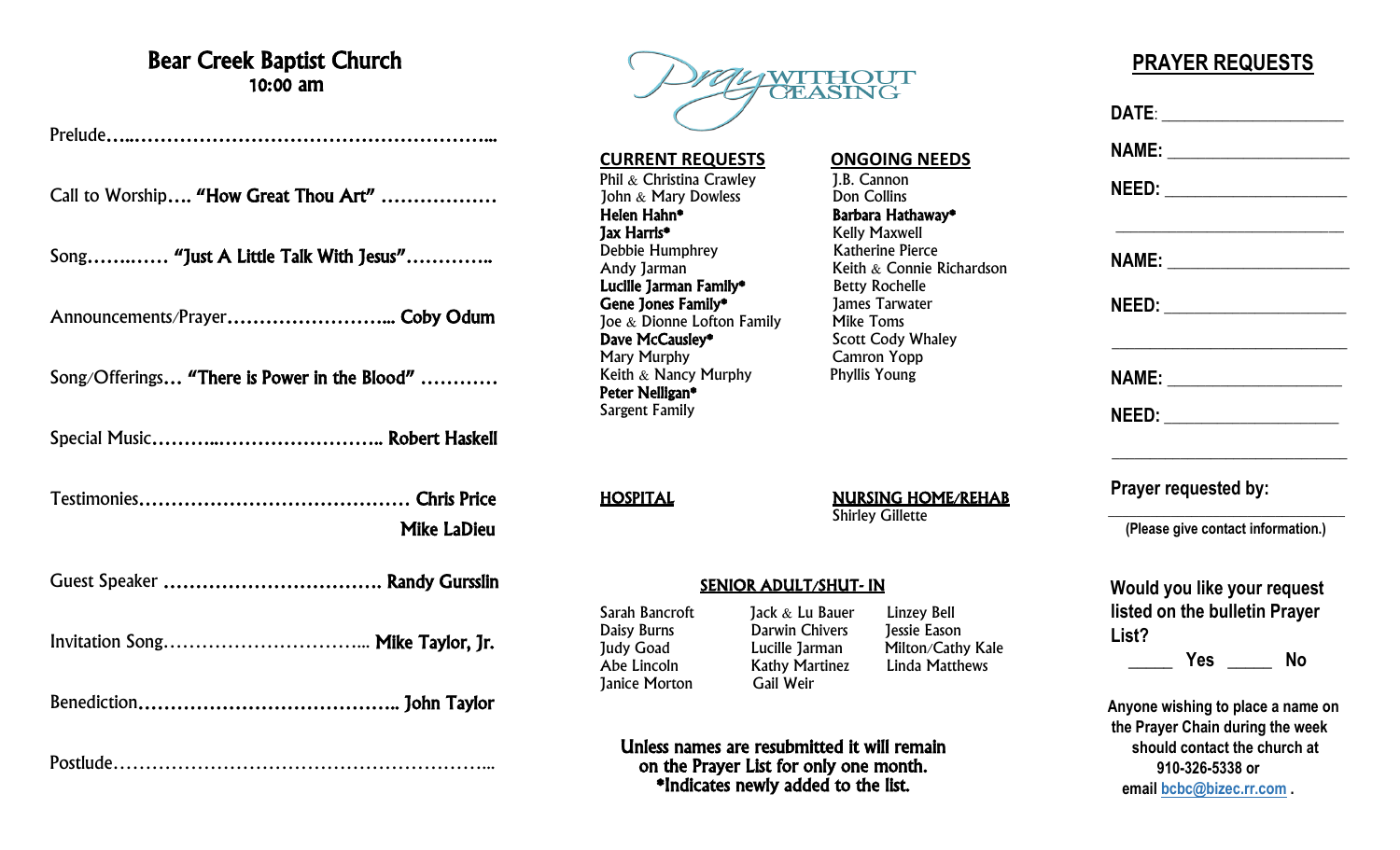## Bear Creek Baptist Church 10:00 am

Prelude…..………………………………………………...

Call to Worship…. "How Great Thou Art" ………………

Song…….…… "Just A Little Talk With Jesus"…………..

Announcements/Prayer……………………... Coby Odum

Song/Offerings… "There is Power in the Blood" …………

Special Music………..…………………….. Robert Haskell

Testimonies…………………………………… Chris Price Mike LaDieu

Guest Speaker ……………………………. Randy Gursslin

Invitation Song…………………………... Mike Taylor, Jr.

Benediction………………………………….. John Taylor

Postlude…………………………………………………...



**CURRENT REQUESTS**<br> **Phil & Christina Crawley**<br> **CALCE 1.B. Cannon** Phil & Christina Crawley **J.B. Cannon**<br> **1988** John & Mary Dowless **Don Collins** John  $&$  Mary Dowless<br>Helen Hahn\* Helen Hahn\* Barbara Hathaway\* Debbie Humphrey<br>
Andy Jarman Mathematic Reith & Connie I **Lucille Jarman Family\*** Betty Rochelle<br> **Gene Jones Family\*** 1ames Tarwater Gene Jones Family\* Framily 1 James Tarwater and School and Tarwater and Tarwater School and Tarwater School and James Tarwater School and Tarwater 3 James Tarwater 3 James Tarwater School and Tarwater School and Tarwater 3 Joe  $&$  Dionne Lofton Family<br>Dave McCauslev\* **Dave McCausley\*** Scott Cody Whaley<br>
Mary Murphy Camron Yopp Keith  $\&$  Nancy Murphy Peter Nelligan\* Sargent Family

HOSPITAL NURSING HOME/REHAB Shirley Gillette

Kelly Maxwell

Camron Yopp<br>Phyllis Young

Keith  $&$  Connie Richardson<br>Betty Rochelle

## SENIOR ADULT/SHUT- IN

**Janice Morton** 

Sarah Bancroft Jack & Lu Bauer Linzey Bell Daisy Burns Darwin Chivers Jessie Eason Judy Goad Lucille Jarman Milton/Cathy Kale<br>Abe Lincoln Kathy Martinez Linda Matthews Kathy Martinez<br>Gail Weir

Unless names are resubmitted it will remain on the Prayer List for only one month. \*Indicates newly added to the list.

## **PRAYER REQUESTS**

|                      | NAME: ________________________     |
|----------------------|------------------------------------|
|                      |                                    |
|                      | <b>NAME:</b> ____________________  |
|                      | NEED: ________________________     |
| Prayer requested by: |                                    |
|                      | (Please give contact information.) |
|                      | Would you like your request        |
|                      | listed on the bulletin Prayer      |
| List?                |                                    |
|                      | <b>Example Struck</b> Press No     |
|                      | Anyone wishing to place a name on  |
|                      | the Prayer Chain during the week   |
|                      | should contact the church at       |

**910-326-5338 or email [bcbc@bizec.rr.com](mailto:bcbc@bizec.rr.com) .**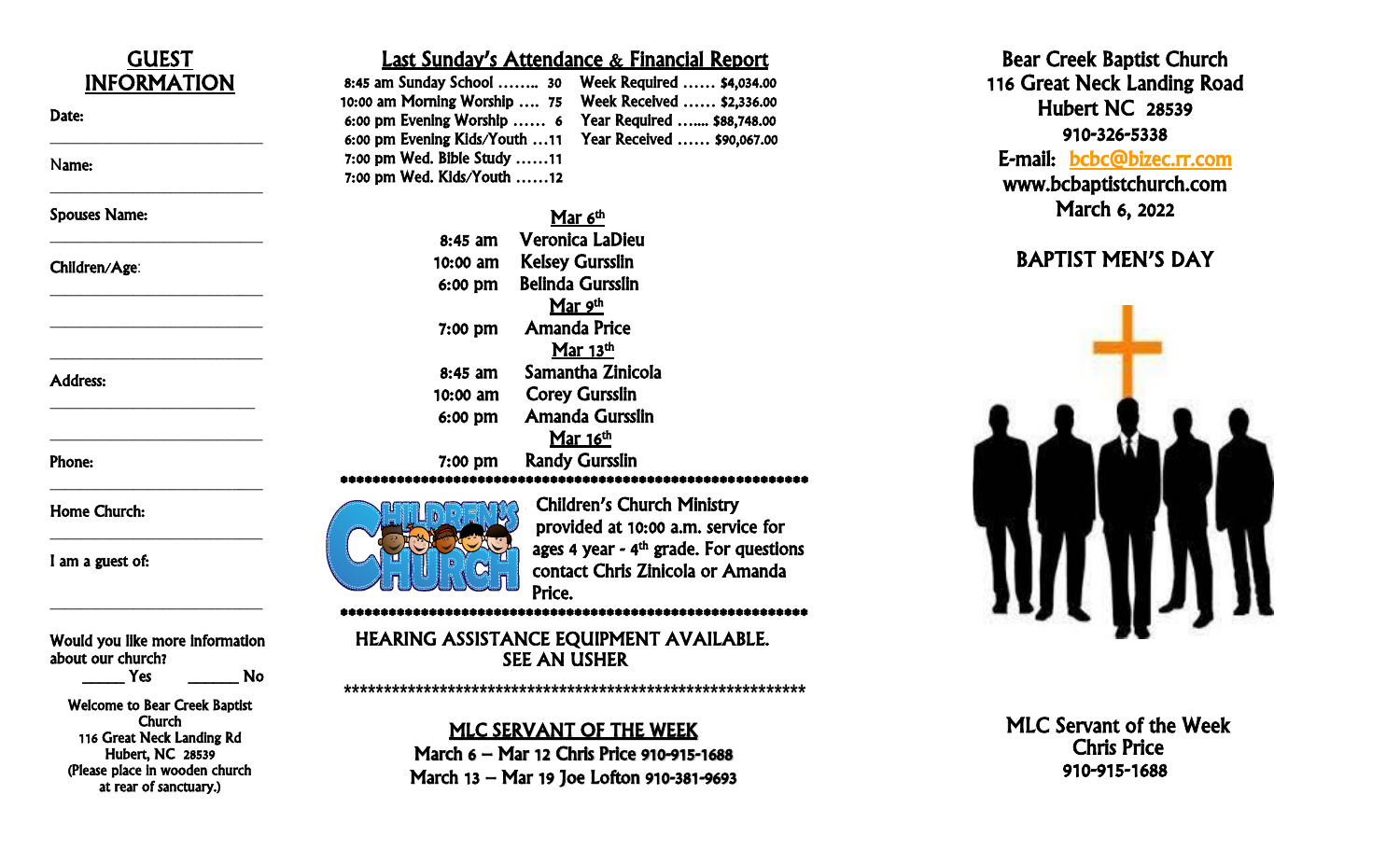

March 13 – Mar 19 Joe Lofton 910 -381 -9693

(Please place in wooden church at rear of sanctuary.)

BAPTIST MEN'S DAY 910 -915 -1688

Hubert NC 28539

March 6, 2022

910 -326